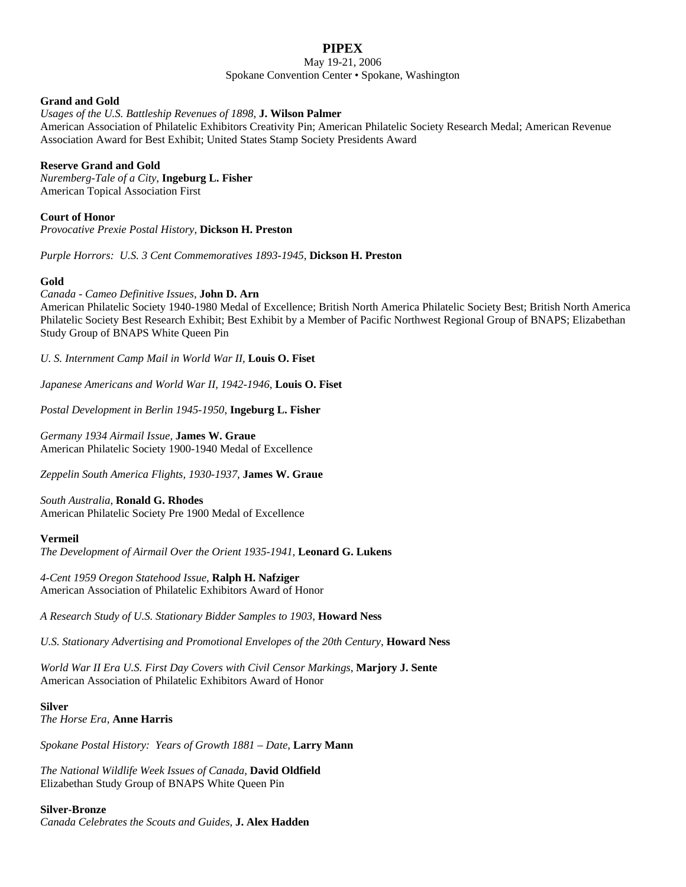# **PIPEX**

### May 19-21, 2006 Spokane Convention Center • Spokane, Washington

### **Grand and Gold**

### *Usages of the U.S. Battleship Revenues of 1898*, **J. Wilson Palmer**

American Association of Philatelic Exhibitors Creativity Pin; American Philatelic Society Research Medal; American Revenue Association Award for Best Exhibit; United States Stamp Society Presidents Award

## **Reserve Grand and Gold**

*Nuremberg-Tale of a City*, **Ingeburg L. Fisher** American Topical Association First

### **Court of Honor**

*Provocative Prexie Postal History*, **Dickson H. Preston**

*Purple Horrors: U.S. 3 Cent Commemoratives 1893-1945*, **Dickson H. Preston**

### **Gold**

*Canada - Cameo Definitive Issues*, **John D. Arn** American Philatelic Society 1940-1980 Medal of Excellence; British North America Philatelic Society Best; British North America Philatelic Society Best Research Exhibit; Best Exhibit by a Member of Pacific Northwest Regional Group of BNAPS; Elizabethan Study Group of BNAPS White Queen Pin

*U. S. Internment Camp Mail in World War II,* **Louis O. Fiset**

*Japanese Americans and World War II, 1942-1946*, **Louis O. Fiset**

*Postal Development in Berlin 1945-1950*, **Ingeburg L. Fisher**

*Germany 1934 Airmail Issue,* **James W. Graue** American Philatelic Society 1900-1940 Medal of Excellence

*Zeppelin South America Flights, 1930-1937*, **James W. Graue**

*South Australia*, **Ronald G. Rhodes** American Philatelic Society Pre 1900 Medal of Excellence

#### **Vermeil**

*The Development of Airmail Over the Orient 1935-1941*, **Leonard G. Lukens**

*4-Cent 1959 Oregon Statehood Issue*, **Ralph H. Nafziger** American Association of Philatelic Exhibitors Award of Honor

*A Research Study of U.S. Stationary Bidder Samples to 1903*, **Howard Ness**

*U.S. Stationary Advertising and Promotional Envelopes of the 20th Century*, **Howard Ness**

*World War II Era U.S. First Day Covers with Civil Censor Markings*, **Marjory J. Sente** American Association of Philatelic Exhibitors Award of Honor

#### **Silver**

*The Horse Era*, **Anne Harris**

*Spokane Postal History: Years of Growth 1881 – Date*, **Larry Mann**

*The National Wildlife Week Issues of Canada*, **David Oldfield** Elizabethan Study Group of BNAPS White Queen Pin

#### **Silver-Bronze**

*Canada Celebrates the Scouts and Guides*, **J. Alex Hadden**